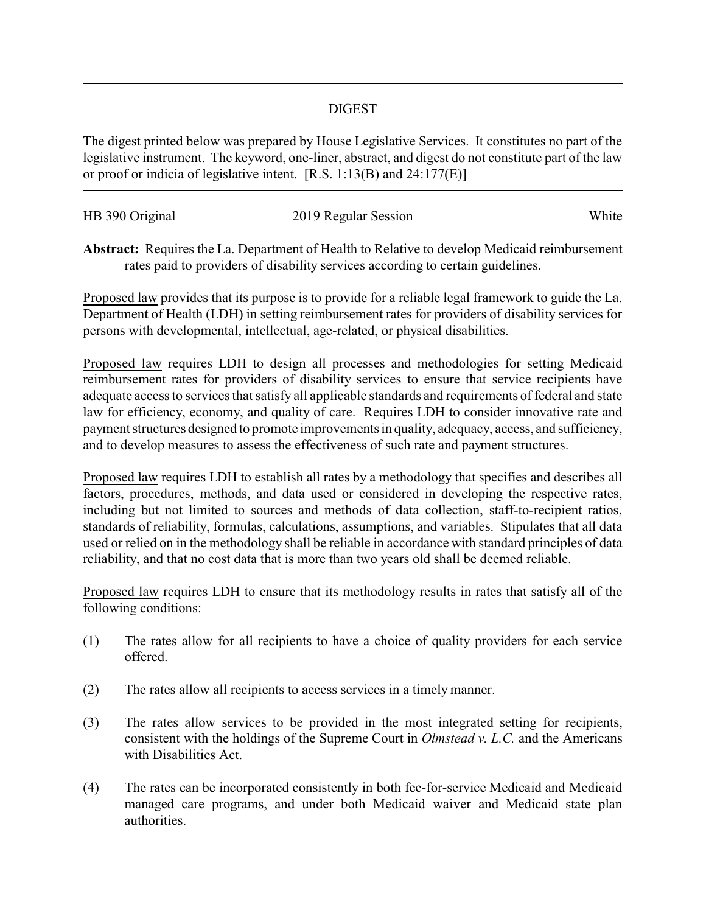## DIGEST

The digest printed below was prepared by House Legislative Services. It constitutes no part of the legislative instrument. The keyword, one-liner, abstract, and digest do not constitute part of the law or proof or indicia of legislative intent. [R.S. 1:13(B) and 24:177(E)]

| HB 390 Original | 2019 Regular Session | White |
|-----------------|----------------------|-------|

**Abstract:** Requires the La. Department of Health to Relative to develop Medicaid reimbursement rates paid to providers of disability services according to certain guidelines.

Proposed law provides that its purpose is to provide for a reliable legal framework to guide the La. Department of Health (LDH) in setting reimbursement rates for providers of disability services for persons with developmental, intellectual, age-related, or physical disabilities.

Proposed law requires LDH to design all processes and methodologies for setting Medicaid reimbursement rates for providers of disability services to ensure that service recipients have adequate access to services that satisfy all applicable standards and requirements of federal and state law for efficiency, economy, and quality of care. Requires LDH to consider innovative rate and payment structures designed to promote improvements in quality, adequacy, access, and sufficiency, and to develop measures to assess the effectiveness of such rate and payment structures.

Proposed law requires LDH to establish all rates by a methodology that specifies and describes all factors, procedures, methods, and data used or considered in developing the respective rates, including but not limited to sources and methods of data collection, staff-to-recipient ratios, standards of reliability, formulas, calculations, assumptions, and variables. Stipulates that all data used or relied on in the methodology shall be reliable in accordance with standard principles of data reliability, and that no cost data that is more than two years old shall be deemed reliable.

Proposed law requires LDH to ensure that its methodology results in rates that satisfy all of the following conditions:

- (1) The rates allow for all recipients to have a choice of quality providers for each service offered.
- (2) The rates allow all recipients to access services in a timely manner.
- (3) The rates allow services to be provided in the most integrated setting for recipients, consistent with the holdings of the Supreme Court in *Olmstead v. L.C.* and the Americans with Disabilities Act.
- (4) The rates can be incorporated consistently in both fee-for-service Medicaid and Medicaid managed care programs, and under both Medicaid waiver and Medicaid state plan authorities.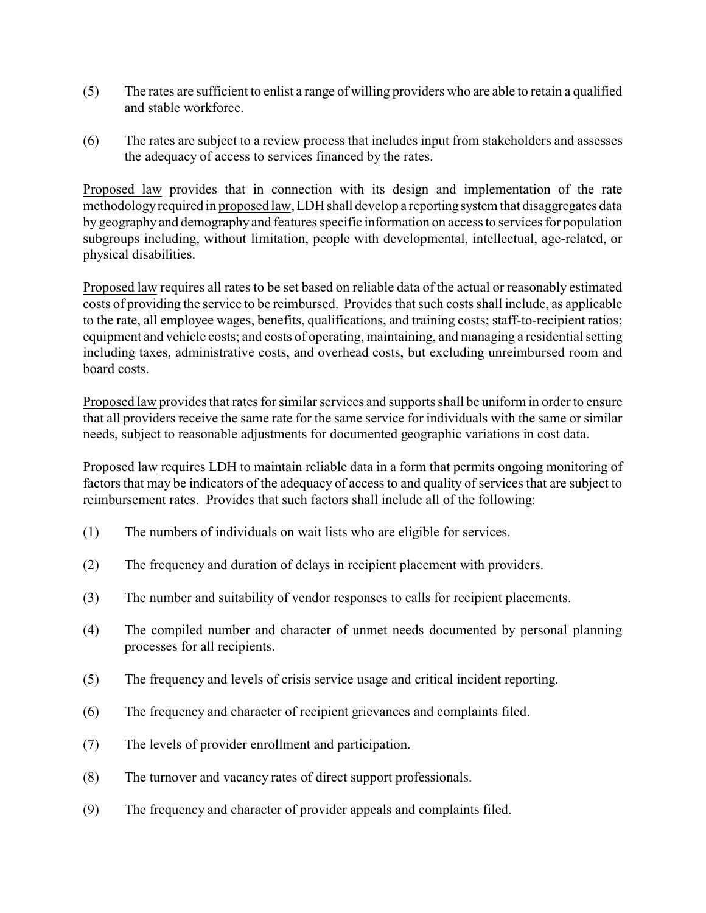- (5) The rates are sufficient to enlist a range of willing providers who are able to retain a qualified and stable workforce.
- (6) The rates are subject to a review process that includes input from stakeholders and assesses the adequacy of access to services financed by the rates.

Proposed law provides that in connection with its design and implementation of the rate methodologyrequired in proposed law, LDH shall develop a reportingsystemthat disaggregates data by geography and demography and features specific information on access to services for population subgroups including, without limitation, people with developmental, intellectual, age-related, or physical disabilities.

Proposed law requires all rates to be set based on reliable data of the actual or reasonably estimated costs of providing the service to be reimbursed. Provides that such costs shall include, as applicable to the rate, all employee wages, benefits, qualifications, and training costs; staff-to-recipient ratios; equipment and vehicle costs; and costs of operating, maintaining, and managing a residential setting including taxes, administrative costs, and overhead costs, but excluding unreimbursed room and board costs.

Proposed law provides that rates for similar services and supports shall be uniform in order to ensure that all providers receive the same rate for the same service for individuals with the same or similar needs, subject to reasonable adjustments for documented geographic variations in cost data.

Proposed law requires LDH to maintain reliable data in a form that permits ongoing monitoring of factors that may be indicators of the adequacy of access to and quality of services that are subject to reimbursement rates. Provides that such factors shall include all of the following:

- (1) The numbers of individuals on wait lists who are eligible for services.
- (2) The frequency and duration of delays in recipient placement with providers.
- (3) The number and suitability of vendor responses to calls for recipient placements.
- (4) The compiled number and character of unmet needs documented by personal planning processes for all recipients.
- (5) The frequency and levels of crisis service usage and critical incident reporting.
- (6) The frequency and character of recipient grievances and complaints filed.
- (7) The levels of provider enrollment and participation.
- (8) The turnover and vacancy rates of direct support professionals.
- (9) The frequency and character of provider appeals and complaints filed.